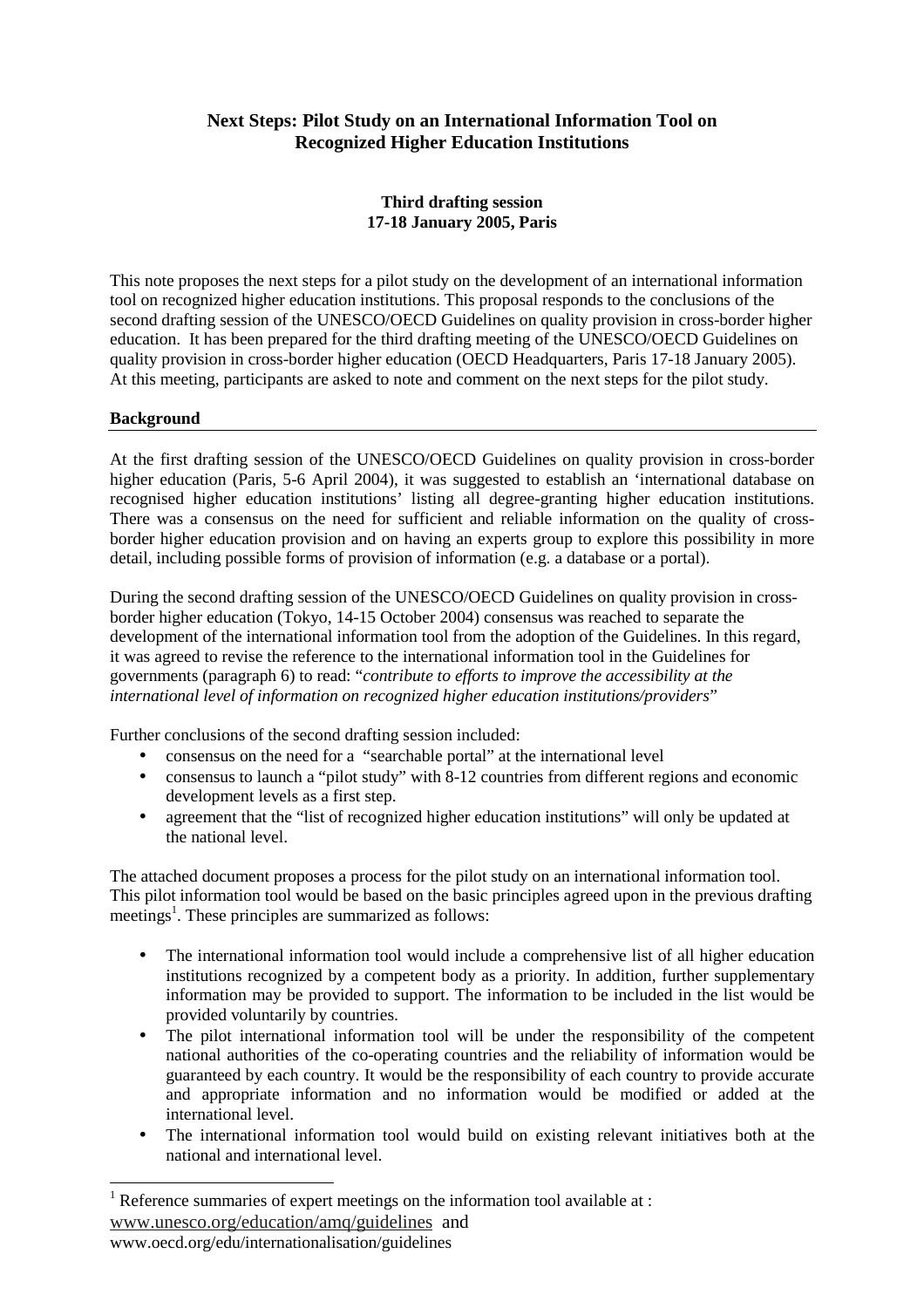# **Next Steps: Pilot Study on an International Information Tool on Recognized Higher Education Institutions**

## **Third drafting session 17-18 January 2005, Paris**

This note proposes the next steps for a pilot study on the development of an international information tool on recognized higher education institutions. This proposal responds to the conclusions of the second drafting session of the UNESCO/OECD Guidelines on quality provision in cross-border higher education. It has been prepared for the third drafting meeting of the UNESCO/OECD Guidelines on quality provision in cross-border higher education (OECD Headquarters, Paris 17-18 January 2005). At this meeting, participants are asked to note and comment on the next steps for the pilot study.

#### **Background**

At the first drafting session of the UNESCO/OECD Guidelines on quality provision in cross-border higher education (Paris, 5-6 April 2004), it was suggested to establish an 'international database on recognised higher education institutions' listing all degree-granting higher education institutions. There was a consensus on the need for sufficient and reliable information on the quality of crossborder higher education provision and on having an experts group to explore this possibility in more detail, including possible forms of provision of information (e.g. a database or a portal).

During the second drafting session of the UNESCO/OECD Guidelines on quality provision in crossborder higher education (Tokyo, 14-15 October 2004) consensus was reached to separate the development of the international information tool from the adoption of the Guidelines. In this regard, it was agreed to revise the reference to the international information tool in the Guidelines for governments (paragraph 6) to read: "*contribute to efforts to improve the accessibility at the international level of information on recognized higher education institutions/providers*"

Further conclusions of the second drafting session included:

- consensus on the need for a "searchable portal" at the international level
- consensus to launch a "pilot study" with 8-12 countries from different regions and economic development levels as a first step.
- agreement that the "list of recognized higher education institutions" will only be updated at the national level.

The attached document proposes a process for the pilot study on an international information tool. This pilot information tool would be based on the basic principles agreed upon in the previous drafting meetings<sup>1</sup>. These principles are summarized as follows:

- The international information tool would include a comprehensive list of all higher education institutions recognized by a competent body as a priority. In addition, further supplementary information may be provided to support. The information to be included in the list would be provided voluntarily by countries.
- The pilot international information tool will be under the responsibility of the competent national authorities of the co-operating countries and the reliability of information would be guaranteed by each country. It would be the responsibility of each country to provide accurate and appropriate information and no information would be modified or added at the international level.
- The international information tool would build on existing relevant initiatives both at the national and international level.

<sup>&</sup>lt;sup>1</sup> Reference summaries of expert meetings on the information tool available at : www.unesco.org/education/amq/guidelines and

www.oecd.org/edu/internationalisation/guidelines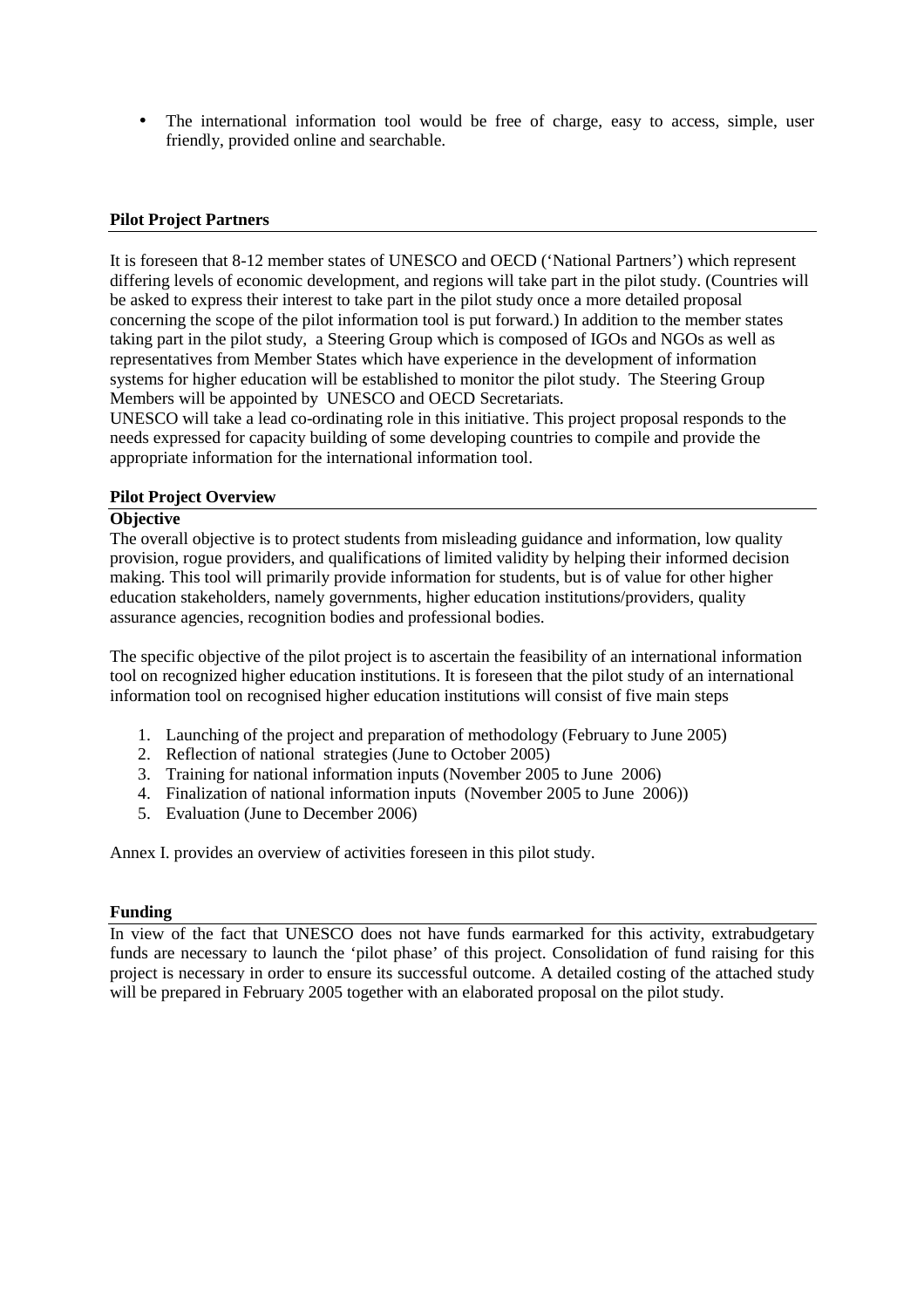• The international information tool would be free of charge, easy to access, simple, user friendly, provided online and searchable.

#### **Pilot Project Partners**

It is foreseen that 8-12 member states of UNESCO and OECD ('National Partners') which represent differing levels of economic development, and regions will take part in the pilot study. (Countries will be asked to express their interest to take part in the pilot study once a more detailed proposal concerning the scope of the pilot information tool is put forward.) In addition to the member states taking part in the pilot study, a Steering Group which is composed of IGOs and NGOs as well as representatives from Member States which have experience in the development of information systems for higher education will be established to monitor the pilot study. The Steering Group Members will be appointed by UNESCO and OECD Secretariats.

UNESCO will take a lead co-ordinating role in this initiative. This project proposal responds to the needs expressed for capacity building of some developing countries to compile and provide the appropriate information for the international information tool.

#### **Pilot Project Overview**

#### **Objective**

The overall objective is to protect students from misleading guidance and information, low quality provision, rogue providers, and qualifications of limited validity by helping their informed decision making. This tool will primarily provide information for students, but is of value for other higher education stakeholders, namely governments, higher education institutions/providers, quality assurance agencies, recognition bodies and professional bodies.

The specific objective of the pilot project is to ascertain the feasibility of an international information tool on recognized higher education institutions. It is foreseen that the pilot study of an international information tool on recognised higher education institutions will consist of five main steps

- 1. Launching of the project and preparation of methodology (February to June 2005)
- 2. Reflection of national strategies (June to October 2005)
- 3. Training for national information inputs (November 2005 to June 2006)
- 4. Finalization of national information inputs (November 2005 to June 2006))
- 5. Evaluation (June to December 2006)

Annex I. provides an overview of activities foreseen in this pilot study.

#### **Funding**

In view of the fact that UNESCO does not have funds earmarked for this activity, extrabudgetary funds are necessary to launch the 'pilot phase' of this project. Consolidation of fund raising for this project is necessary in order to ensure its successful outcome. A detailed costing of the attached study will be prepared in February 2005 together with an elaborated proposal on the pilot study.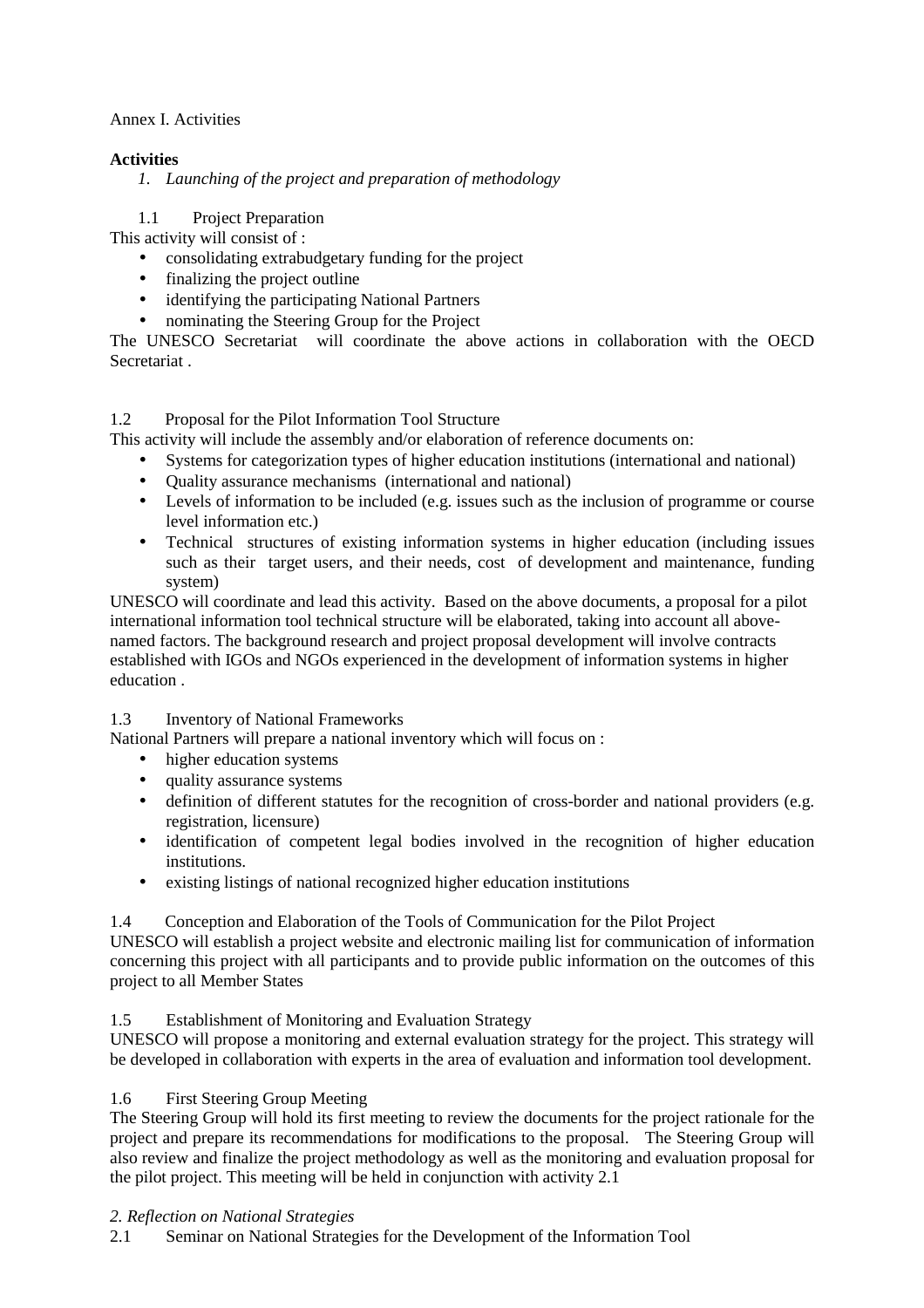### Annex I. Activities

### **Activities**

*1. Launching of the project and preparation of methodology* 

1.1 Project Preparation

This activity will consist of :

- consolidating extrabudgetary funding for the project
- finalizing the project outline
- identifying the participating National Partners
- nominating the Steering Group for the Project

The UNESCO Secretariat will coordinate the above actions in collaboration with the OECD Secretariat .

### 1.2 Proposal for the Pilot Information Tool Structure

This activity will include the assembly and/or elaboration of reference documents on:

- Systems for categorization types of higher education institutions (international and national)
- Quality assurance mechanisms (international and national)
- Levels of information to be included (e.g. issues such as the inclusion of programme or course level information etc.)
- Technical structures of existing information systems in higher education (including issues such as their target users, and their needs, cost of development and maintenance, funding system)

UNESCO will coordinate and lead this activity. Based on the above documents, a proposal for a pilot international information tool technical structure will be elaborated, taking into account all abovenamed factors. The background research and project proposal development will involve contracts established with IGOs and NGOs experienced in the development of information systems in higher education .

### 1.3 Inventory of National Frameworks

National Partners will prepare a national inventory which will focus on :

- higher education systems
- quality assurance systems
- definition of different statutes for the recognition of cross-border and national providers (e.g. registration, licensure)
- identification of competent legal bodies involved in the recognition of higher education institutions.
- existing listings of national recognized higher education institutions

1.4 Conception and Elaboration of the Tools of Communication for the Pilot Project

UNESCO will establish a project website and electronic mailing list for communication of information concerning this project with all participants and to provide public information on the outcomes of this project to all Member States

### 1.5 Establishment of Monitoring and Evaluation Strategy

UNESCO will propose a monitoring and external evaluation strategy for the project. This strategy will be developed in collaboration with experts in the area of evaluation and information tool development.

### 1.6 First Steering Group Meeting

The Steering Group will hold its first meeting to review the documents for the project rationale for the project and prepare its recommendations for modifications to the proposal. The Steering Group will also review and finalize the project methodology as well as the monitoring and evaluation proposal for the pilot project. This meeting will be held in conjunction with activity 2.1

### *2. Reflection on National Strategies*

2.1 Seminar on National Strategies for the Development of the Information Tool